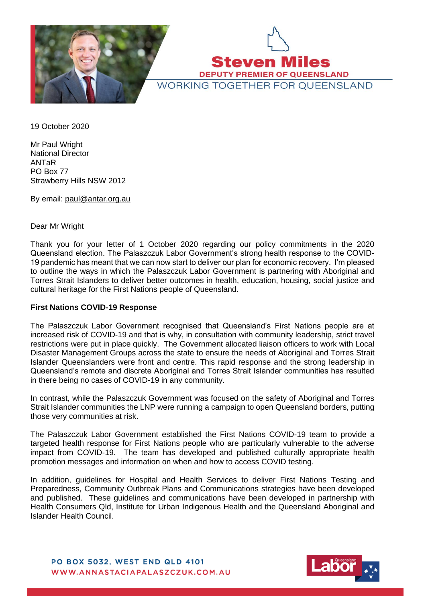

**Steven Miles DEPUTY PREMIER OF QUEENSLAND WORKING TOGETHER FOR OUEENSLAND** 

19 October 2020

Mr Paul Wright National Director ANTaR PO Box 77 Strawberry Hills NSW 2012

By email: [paul@antar.org.au](mailto:paul@antar.org.au)

## Dear Mr Wright

Thank you for your letter of 1 October 2020 regarding our policy commitments in the 2020 Queensland election. The Palaszczuk Labor Government's strong health response to the COVID-19 pandemic has meant that we can now start to deliver our plan for economic recovery. I'm pleased to outline the ways in which the Palaszczuk Labor Government is partnering with Aboriginal and Torres Strait Islanders to deliver better outcomes in health, education, housing, social justice and cultural heritage for the First Nations people of Queensland.

#### **First Nations COVID-19 Response**

The Palaszczuk Labor Government recognised that Queensland's First Nations people are at increased risk of COVID-19 and that is why, in consultation with community leadership, strict travel restrictions were put in place quickly. The Government allocated liaison officers to work with Local Disaster Management Groups across the state to ensure the needs of Aboriginal and Torres Strait Islander Queenslanders were front and centre. This rapid response and the strong leadership in Queensland's remote and discrete Aboriginal and Torres Strait Islander communities has resulted in there being no cases of COVID-19 in any community.

In contrast, while the Palaszczuk Government was focused on the safety of Aboriginal and Torres Strait Islander communities the LNP were running a campaign to open Queensland borders, putting those very communities at risk.

The Palaszczuk Labor Government established the First Nations COVID-19 team to provide a targeted health response for First Nations people who are particularly vulnerable to the adverse impact from COVID-19. The team has developed and published culturally appropriate health promotion messages and information on when and how to access COVID testing.

In addition, guidelines for Hospital and Health Services to deliver First Nations Testing and Preparedness, Community Outbreak Plans and Communications strategies have been developed and published. These guidelines and communications have been developed in partnership with Health Consumers Qld, Institute for Urban Indigenous Health and the Queensland Aboriginal and Islander Health Council.

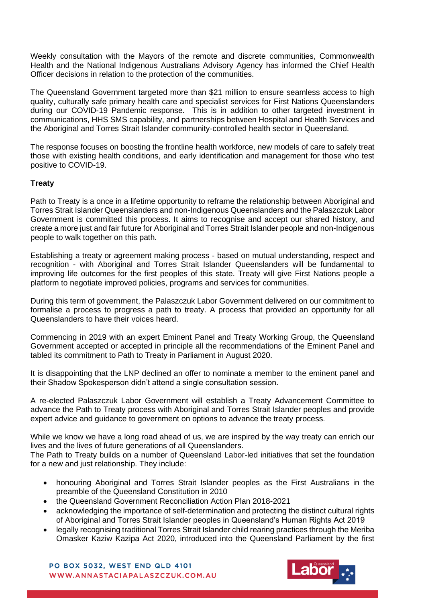Weekly consultation with the Mayors of the remote and discrete communities, Commonwealth Health and the National Indigenous Australians Advisory Agency has informed the Chief Health Officer decisions in relation to the protection of the communities.

The Queensland Government targeted more than \$21 million to ensure seamless access to high quality, culturally safe primary health care and specialist services for First Nations Queenslanders during our COVID-19 Pandemic response. This is in addition to other targeted investment in communications, HHS SMS capability, and partnerships between Hospital and Health Services and the Aboriginal and Torres Strait Islander community-controlled health sector in Queensland.

The response focuses on boosting the frontline health workforce, new models of care to safely treat those with existing health conditions, and early identification and management for those who test positive to COVID-19.

# **Treaty**

Path to Treaty is a once in a lifetime opportunity to reframe the relationship between Aboriginal and Torres Strait Islander Queenslanders and non-Indigenous Queenslanders and the Palaszczuk Labor Government is committed this process. It aims to recognise and accept our shared history, and create a more just and fair future for Aboriginal and Torres Strait Islander people and non-Indigenous people to walk together on this path.

Establishing a treaty or agreement making process - based on mutual understanding, respect and recognition - with Aboriginal and Torres Strait Islander Queenslanders will be fundamental to improving life outcomes for the first peoples of this state. Treaty will give First Nations people a platform to negotiate improved policies, programs and services for communities.

During this term of government, the Palaszczuk Labor Government delivered on our commitment to formalise a process to progress a path to treaty. A process that provided an opportunity for all Queenslanders to have their voices heard.

Commencing in 2019 with an expert Eminent Panel and Treaty Working Group, the Queensland Government accepted or accepted in principle all the recommendations of the Eminent Panel and tabled its commitment to Path to Treaty in Parliament in August 2020.

It is disappointing that the LNP declined an offer to nominate a member to the eminent panel and their Shadow Spokesperson didn't attend a single consultation session.

A re-elected Palaszczuk Labor Government will establish a Treaty Advancement Committee to advance the Path to Treaty process with Aboriginal and Torres Strait Islander peoples and provide expert advice and guidance to government on options to advance the treaty process.

While we know we have a long road ahead of us, we are inspired by the way treaty can enrich our lives and the lives of future generations of all Queenslanders.

The Path to Treaty builds on a number of Queensland Labor-led initiatives that set the foundation for a new and just relationship. They include:

- honouring Aboriginal and Torres Strait Islander peoples as the First Australians in the preamble of the Queensland Constitution in 2010
- the Queensland Government Reconciliation Action Plan 2018-2021
- acknowledging the importance of self-determination and protecting the distinct cultural rights of Aboriginal and Torres Strait Islander peoples in Queensland's Human Rights Act 2019
- legally recognising traditional Torres Strait Islander child rearing practices through the Meriba Omasker Kaziw Kazipa Act 2020, introduced into the Queensland Parliament by the first

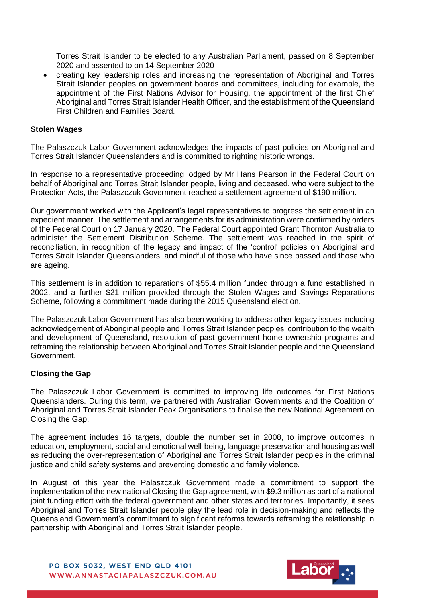Torres Strait Islander to be elected to any Australian Parliament, passed on 8 September 2020 and assented to on 14 September 2020

• creating key leadership roles and increasing the representation of Aboriginal and Torres Strait Islander peoples on government boards and committees, including for example, the appointment of the First Nations Advisor for Housing, the appointment of the first Chief Aboriginal and Torres Strait Islander Health Officer, and the establishment of the Queensland First Children and Families Board.

### **Stolen Wages**

The Palaszczuk Labor Government acknowledges the impacts of past policies on Aboriginal and Torres Strait Islander Queenslanders and is committed to righting historic wrongs.

In response to a representative proceeding lodged by Mr Hans Pearson in the Federal Court on behalf of Aboriginal and Torres Strait Islander people, living and deceased, who were subject to the Protection Acts, the Palaszczuk Government reached a settlement agreement of \$190 million.

Our government worked with the Applicant's legal representatives to progress the settlement in an expedient manner. The settlement and arrangements for its administration were confirmed by orders of the Federal Court on 17 January 2020. The Federal Court appointed Grant Thornton Australia to administer the Settlement Distribution Scheme. The settlement was reached in the spirit of reconciliation, in recognition of the legacy and impact of the 'control' policies on Aboriginal and Torres Strait Islander Queenslanders, and mindful of those who have since passed and those who are ageing.

This settlement is in addition to reparations of \$55.4 million funded through a fund established in 2002, and a further \$21 million provided through the Stolen Wages and Savings Reparations Scheme, following a commitment made during the 2015 Queensland election.

The Palaszczuk Labor Government has also been working to address other legacy issues including acknowledgement of Aboriginal people and Torres Strait Islander peoples' contribution to the wealth and development of Queensland, resolution of past government home ownership programs and reframing the relationship between Aboriginal and Torres Strait Islander people and the Queensland Government.

#### **Closing the Gap**

The Palaszczuk Labor Government is committed to improving life outcomes for First Nations Queenslanders. During this term, we partnered with Australian Governments and the Coalition of Aboriginal and Torres Strait Islander Peak Organisations to finalise the new National Agreement on Closing the Gap.

The agreement includes 16 targets, double the number set in 2008, to improve outcomes in education, employment, social and emotional well-being, language preservation and housing as well as reducing the over-representation of Aboriginal and Torres Strait Islander peoples in the criminal justice and child safety systems and preventing domestic and family violence.

In August of this year the Palaszczuk Government made a commitment to support the implementation of the new national Closing the Gap agreement, with \$9.3 million as part of a national joint funding effort with the federal government and other states and territories. Importantly, it sees Aboriginal and Torres Strait Islander people play the lead role in decision-making and reflects the Queensland Government's commitment to significant reforms towards reframing the relationship in partnership with Aboriginal and Torres Strait Islander people.

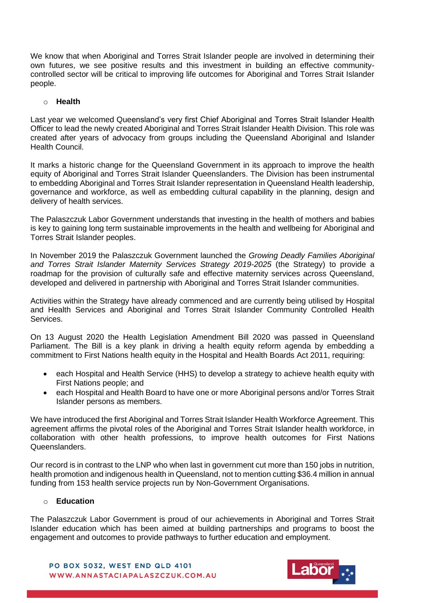We know that when Aboriginal and Torres Strait Islander people are involved in determining their own futures, we see positive results and this investment in building an effective communitycontrolled sector will be critical to improving life outcomes for Aboriginal and Torres Strait Islander people.

# o **Health**

Last year we welcomed Queensland's very first Chief Aboriginal and Torres Strait Islander Health Officer to lead the newly created Aboriginal and Torres Strait Islander Health Division. This role was created after years of advocacy from groups including the Queensland Aboriginal and Islander Health Council.

It marks a historic change for the Queensland Government in its approach to improve the health equity of Aboriginal and Torres Strait Islander Queenslanders. The Division has been instrumental to embedding Aboriginal and Torres Strait Islander representation in Queensland Health leadership, governance and workforce, as well as embedding cultural capability in the planning, design and delivery of health services.

The Palaszczuk Labor Government understands that investing in the health of mothers and babies is key to gaining long term sustainable improvements in the health and wellbeing for Aboriginal and Torres Strait Islander peoples.

In November 2019 the Palaszczuk Government launched the *Growing Deadly Families Aboriginal and Torres Strait Islander Maternity Services Strategy 2019-2025* (the Strategy) to provide a roadmap for the provision of culturally safe and effective maternity services across Queensland, developed and delivered in partnership with Aboriginal and Torres Strait Islander communities.

Activities within the Strategy have already commenced and are currently being utilised by Hospital and Health Services and Aboriginal and Torres Strait Islander Community Controlled Health Services.

On 13 August 2020 the Health Legislation Amendment Bill 2020 was passed in Queensland Parliament. The Bill is a key plank in driving a health equity reform agenda by embedding a commitment to First Nations health equity in the Hospital and Health Boards Act 2011, requiring:

- each Hospital and Health Service (HHS) to develop a strategy to achieve health equity with First Nations people; and
- each Hospital and Health Board to have one or more Aboriginal persons and/or Torres Strait Islander persons as members.

We have introduced the first Aboriginal and Torres Strait Islander Health Workforce Agreement. This agreement affirms the pivotal roles of the Aboriginal and Torres Strait Islander health workforce, in collaboration with other health professions, to improve health outcomes for First Nations Queenslanders.

Our record is in contrast to the LNP who when last in government cut more than 150 jobs in nutrition, health promotion and indigenous health in Queensland, not to mention cutting \$36.4 million in annual funding from 153 health service projects run by Non-Government Organisations.

#### o **Education**

The Palaszczuk Labor Government is proud of our achievements in Aboriginal and Torres Strait Islander education which has been aimed at building partnerships and programs to boost the engagement and outcomes to provide pathways to further education and employment.

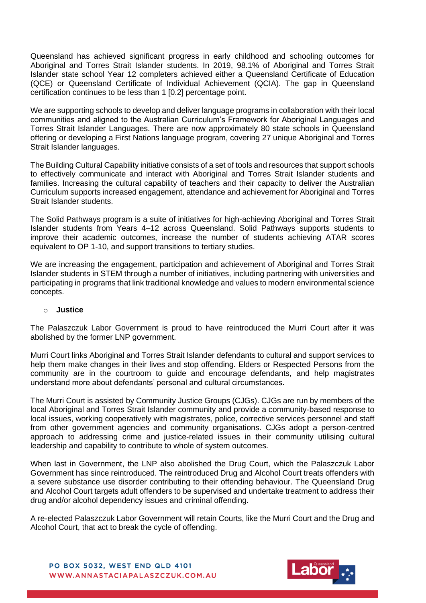Queensland has achieved significant progress in early childhood and schooling outcomes for Aboriginal and Torres Strait Islander students. In 2019, 98.1% of Aboriginal and Torres Strait Islander state school Year 12 completers achieved either a Queensland Certificate of Education (QCE) or Queensland Certificate of Individual Achievement (QCIA). The gap in Queensland certification continues to be less than 1 [0.2] percentage point.

We are supporting schools to develop and deliver language programs in collaboration with their local communities and aligned to the Australian Curriculum's Framework for Aboriginal Languages and Torres Strait Islander Languages. There are now approximately 80 state schools in Queensland offering or developing a First Nations language program, covering 27 unique Aboriginal and Torres Strait Islander languages.

The Building Cultural Capability initiative consists of a set of tools and resources that support schools to effectively communicate and interact with Aboriginal and Torres Strait Islander students and families. Increasing the cultural capability of teachers and their capacity to deliver the Australian Curriculum supports increased engagement, attendance and achievement for Aboriginal and Torres Strait Islander students.

The Solid Pathways program is a suite of initiatives for high-achieving Aboriginal and Torres Strait Islander students from Years 4–12 across Queensland. Solid Pathways supports students to improve their academic outcomes, increase the number of students achieving ATAR scores equivalent to OP 1-10, and support transitions to tertiary studies.

We are increasing the engagement, participation and achievement of Aboriginal and Torres Strait Islander students in STEM through a number of initiatives, including partnering with universities and participating in programs that link traditional knowledge and values to modern environmental science concepts.

#### o **Justice**

The Palaszczuk Labor Government is proud to have reintroduced the Murri Court after it was abolished by the former LNP government.

Murri Court links Aboriginal and Torres Strait Islander defendants to cultural and support services to help them make changes in their lives and stop offending. Elders or Respected Persons from the community are in the courtroom to guide and encourage defendants, and help magistrates understand more about defendants' personal and cultural circumstances.

The Murri Court is assisted by Community Justice Groups (CJGs). CJGs are run by members of the local Aboriginal and Torres Strait Islander community and provide a community-based response to local issues, working cooperatively with magistrates, police, corrective services personnel and staff from other government agencies and community organisations. CJGs adopt a person-centred approach to addressing crime and justice-related issues in their community utilising cultural leadership and capability to contribute to whole of system outcomes.

When last in Government, the LNP also abolished the Drug Court, which the Palaszczuk Labor Government has since reintroduced. The reintroduced Drug and Alcohol Court treats offenders with a severe substance use disorder contributing to their offending behaviour. The Queensland Drug and Alcohol Court targets adult offenders to be supervised and undertake treatment to address their drug and/or alcohol dependency issues and criminal offending.

A re-elected Palaszczuk Labor Government will retain Courts, like the Murri Court and the Drug and Alcohol Court, that act to break the cycle of offending.

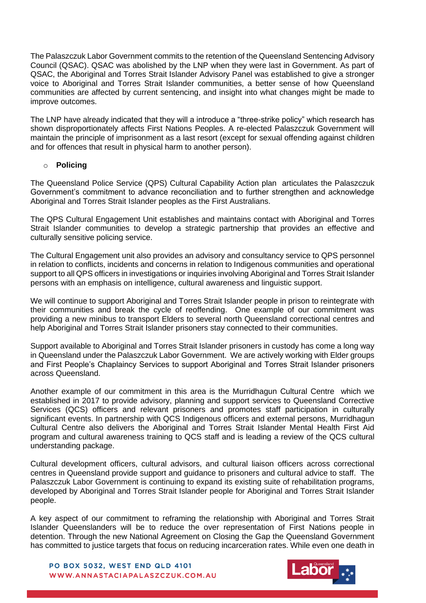The Palaszczuk Labor Government commits to the retention of the Queensland Sentencing Advisory Council (QSAC). QSAC was abolished by the LNP when they were last in Government. As part of QSAC, the Aboriginal and Torres Strait Islander Advisory Panel was established to give a stronger voice to Aboriginal and Torres Strait Islander communities, a better sense of how Queensland communities are affected by current sentencing, and insight into what changes might be made to improve outcomes.

The LNP have already indicated that they will a introduce a "three-strike policy" which research has shown disproportionately affects First Nations Peoples. A re-elected Palaszczuk Government will maintain the principle of imprisonment as a last resort (except for sexual offending against children and for offences that result in physical harm to another person).

# o **Policing**

The Queensland Police Service (QPS) Cultural Capability Action plan articulates the Palaszczuk Government's commitment to advance reconciliation and to further strengthen and acknowledge Aboriginal and Torres Strait Islander peoples as the First Australians.

The QPS Cultural Engagement Unit establishes and maintains contact with Aboriginal and Torres Strait Islander communities to develop a strategic partnership that provides an effective and culturally sensitive policing service.

The Cultural Engagement unit also provides an advisory and consultancy service to QPS personnel in relation to conflicts, incidents and concerns in relation to Indigenous communities and operational support to all QPS officers in investigations or inquiries involving Aboriginal and Torres Strait Islander persons with an emphasis on intelligence, cultural awareness and linguistic support.

We will continue to support Aboriginal and Torres Strait Islander people in prison to reintegrate with their communities and break the cycle of reoffending. One example of our commitment was providing a new minibus to transport Elders to several north Queensland correctional centres and help Aboriginal and Torres Strait Islander prisoners stay connected to their communities.

Support available to Aboriginal and Torres Strait Islander prisoners in custody has come a long way in Queensland under the Palaszczuk Labor Government. We are actively working with Elder groups and First People's Chaplaincy Services to support Aboriginal and Torres Strait Islander prisoners across Queensland.

Another example of our commitment in this area is the Murridhagun Cultural Centre which we established in 2017 to provide advisory, planning and support services to Queensland Corrective Services (QCS) officers and relevant prisoners and promotes staff participation in culturally significant events. In partnership with QCS Indigenous officers and external persons, Murridhagun Cultural Centre also delivers the Aboriginal and Torres Strait Islander Mental Health First Aid program and cultural awareness training to QCS staff and is leading a review of the QCS cultural understanding package.

Cultural development officers, cultural advisors, and cultural liaison officers across correctional centres in Queensland provide support and guidance to prisoners and cultural advice to staff. The Palaszczuk Labor Government is continuing to expand its existing suite of rehabilitation programs, developed by Aboriginal and Torres Strait Islander people for Aboriginal and Torres Strait Islander people.

A key aspect of our commitment to reframing the relationship with Aboriginal and Torres Strait Islander Queenslanders will be to reduce the over representation of First Nations people in detention. Through the new National Agreement on Closing the Gap the Queensland Government has committed to justice targets that focus on reducing incarceration rates. While even one death in

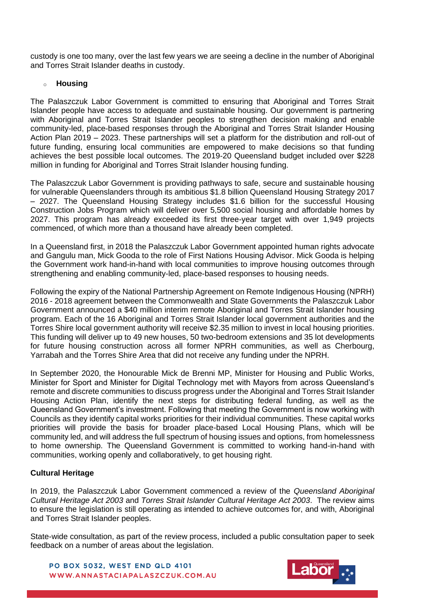custody is one too many, over the last few years we are seeing a decline in the number of Aboriginal and Torres Strait Islander deaths in custody.

## o **Housing**

The Palaszczuk Labor Government is committed to ensuring that Aboriginal and Torres Strait Islander people have access to adequate and sustainable housing. Our government is partnering with Aboriginal and Torres Strait Islander peoples to strengthen decision making and enable community-led, place-based responses through the Aboriginal and Torres Strait Islander Housing Action Plan 2019 – 2023. These partnerships will set a platform for the distribution and roll-out of future funding, ensuring local communities are empowered to make decisions so that funding achieves the best possible local outcomes. The 2019-20 Queensland budget included over \$228 million in funding for Aboriginal and Torres Strait Islander housing funding.

The Palaszczuk Labor Government is providing pathways to safe, secure and sustainable housing for vulnerable Queenslanders through its ambitious \$1.8 billion Queensland Housing Strategy 2017 – 2027. The Queensland Housing Strategy includes \$1.6 billion for the successful Housing Construction Jobs Program which will deliver over 5,500 social housing and affordable homes by 2027. This program has already exceeded its first three-year target with over 1,949 projects commenced, of which more than a thousand have already been completed.

In a Queensland first, in 2018 the Palaszczuk Labor Government appointed human rights advocate and Gangulu man, Mick Gooda to the role of First Nations Housing Advisor. Mick Gooda is helping the Government work hand-in-hand with local communities to improve housing outcomes through strengthening and enabling community-led, place-based responses to housing needs.

Following the expiry of the National Partnership Agreement on Remote Indigenous Housing (NPRH) 2016 - 2018 agreement between the Commonwealth and State Governments the Palaszczuk Labor Government announced a \$40 million interim remote Aboriginal and Torres Strait Islander housing program. Each of the 16 Aboriginal and Torres Strait Islander local government authorities and the Torres Shire local government authority will receive \$2.35 million to invest in local housing priorities. This funding will deliver up to 49 new houses, 50 two-bedroom extensions and 35 lot developments for future housing construction across all former NPRH communities, as well as Cherbourg, Yarrabah and the Torres Shire Area that did not receive any funding under the NPRH.

In September 2020, the Honourable Mick de Brenni MP, Minister for Housing and Public Works, Minister for Sport and Minister for Digital Technology met with Mayors from across Queensland's remote and discrete communities to discuss progress under the Aboriginal and Torres Strait Islander Housing Action Plan, identify the next steps for distributing federal funding, as well as the Queensland Government's investment. Following that meeting the Government is now working with Councils as they identify capital works priorities for their individual communities. These capital works priorities will provide the basis for broader place-based Local Housing Plans, which will be community led, and will address the full spectrum of housing issues and options, from homelessness to home ownership. The Queensland Government is committed to working hand-in-hand with communities, working openly and collaboratively, to get housing right.

# **Cultural Heritage**

In 2019, the Palaszczuk Labor Government commenced a review of the *Queensland Aboriginal Cultural Heritage Act 2003* and *Torres Strait Islander Cultural Heritage Act 2003*. The review aims to ensure the legislation is still operating as intended to achieve outcomes for, and with, Aboriginal and Torres Strait Islander peoples.

State-wide consultation, as part of the review process, included a public consultation paper to seek feedback on a number of areas about the legislation.

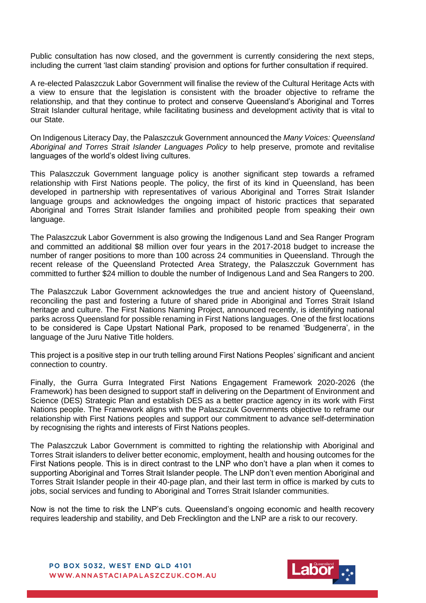Public consultation has now closed, and the government is currently considering the next steps, including the current 'last claim standing' provision and options for further consultation if required.

A re-elected Palaszczuk Labor Government will finalise the review of the Cultural Heritage Acts with a view to ensure that the legislation is consistent with the broader objective to reframe the relationship, and that they continue to protect and conserve Queensland's Aboriginal and Torres Strait Islander cultural heritage, while facilitating business and development activity that is vital to our State.

On Indigenous Literacy Day, the Palaszczuk Government announced the *Many Voices: Queensland Aboriginal and Torres Strait Islander Languages Policy* to help preserve, promote and revitalise languages of the world's oldest living cultures.

This Palaszczuk Government language policy is another significant step towards a reframed relationship with First Nations people. The policy, the first of its kind in Queensland, has been developed in partnership with representatives of various Aboriginal and Torres Strait Islander language groups and acknowledges the ongoing impact of historic practices that separated Aboriginal and Torres Strait Islander families and prohibited people from speaking their own language.

The Palaszczuk Labor Government is also growing the Indigenous Land and Sea Ranger Program and committed an additional \$8 million over four years in the 2017-2018 budget to increase the number of ranger positions to more than 100 across 24 communities in Queensland. Through the recent release of the Queensland Protected Area Strategy, the Palaszczuk Government has committed to further \$24 million to double the number of Indigenous Land and Sea Rangers to 200.

The Palaszczuk Labor Government acknowledges the true and ancient history of Queensland, reconciling the past and fostering a future of shared pride in Aboriginal and Torres Strait Island heritage and culture. The First Nations Naming Project, announced recently, is identifying national parks across Queensland for possible renaming in First Nations languages. One of the first locations to be considered is Cape Upstart National Park, proposed to be renamed 'Budgenerra', in the language of the Juru Native Title holders.

This project is a positive step in our truth telling around First Nations Peoples' significant and ancient connection to country.

Finally, the Gurra Gurra Integrated First Nations Engagement Framework 2020-2026 (the Framework) has been designed to support staff in delivering on the Department of Environment and Science (DES) Strategic Plan and establish DES as a better practice agency in its work with First Nations people. The Framework aligns with the Palaszczuk Governments objective to reframe our relationship with First Nations peoples and support our commitment to advance self-determination by recognising the rights and interests of First Nations peoples.

The Palaszczuk Labor Government is committed to righting the relationship with Aboriginal and Torres Strait islanders to deliver better economic, employment, health and housing outcomes for the First Nations people. This is in direct contrast to the LNP who don't have a plan when it comes to supporting Aboriginal and Torres Strait Islander people. The LNP don't even mention Aboriginal and Torres Strait Islander people in their 40-page plan, and their last term in office is marked by cuts to jobs, social services and funding to Aboriginal and Torres Strait Islander communities.

Now is not the time to risk the LNP's cuts. Queensland's ongoing economic and health recovery requires leadership and stability, and Deb Frecklington and the LNP are a risk to our recovery.